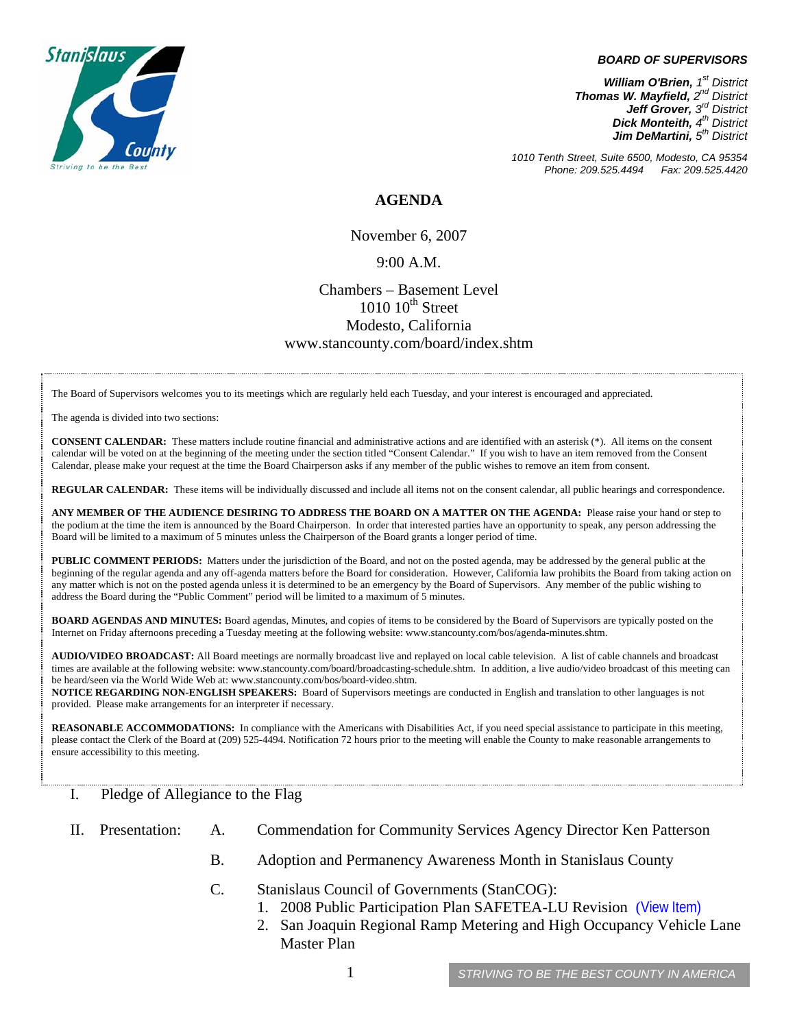

#### *BOARD OF SUPERVISORS*

*William O'Brien, 1st District Thomas W. Mayfield, 2nd District Jeff Grover, 3rd District Dick Monteith, 4th District Jim DeMartini, 5th District*

*1010 Tenth Street, Suite 6500, Modesto, CA 95354 Phone: 209.525.4494* 

### **AGENDA**

November 6, 2007

### 9:00 A.M.

## Chambers – Basement Level  $1010$   $10^{th}$  Street Modesto, California www.stancounty.com/board/index.shtm

The Board of Supervisors welcomes you to its meetings which are regularly held each Tuesday, and your interest is encouraged and appreciated.

The agenda is divided into two sections:

**CONSENT CALENDAR:** These matters include routine financial and administrative actions and are identified with an asterisk (\*). All items on the consent calendar will be voted on at the beginning of the meeting under the section titled "Consent Calendar." If you wish to have an item removed from the Consent Calendar, please make your request at the time the Board Chairperson asks if any member of the public wishes to remove an item from consent.

**REGULAR CALENDAR:** These items will be individually discussed and include all items not on the consent calendar, all public hearings and correspondence.

**ANY MEMBER OF THE AUDIENCE DESIRING TO ADDRESS THE BOARD ON A MATTER ON THE AGENDA:** Please raise your hand or step to the podium at the time the item is announced by the Board Chairperson. In order that interested parties have an opportunity to speak, any person addressing the Board will be limited to a maximum of 5 minutes unless the Chairperson of the Board grants a longer period of time.

**PUBLIC COMMENT PERIODS:** Matters under the jurisdiction of the Board, and not on the posted agenda, may be addressed by the general public at the beginning of the regular agenda and any off-agenda matters before the Board for consideration. However, California law prohibits the Board from taking action on any matter which is not on the posted agenda unless it is determined to be an emergency by the Board of Supervisors. Any member of the public wishing to address the Board during the "Public Comment" period will be limited to a maximum of 5 minutes.

**BOARD AGENDAS AND MINUTES:** Board agendas, Minutes, and copies of items to be considered by the Board of Supervisors are typically posted on the Internet on Friday afternoons preceding a Tuesday meeting at the following website: www.stancounty.com/bos/agenda-minutes.shtm.

**AUDIO/VIDEO BROADCAST:** All Board meetings are normally broadcast live and replayed on local cable television. A list of cable channels and broadcast times are available at the following website: www.stancounty.com/board/broadcasting-schedule.shtm. In addition, a live audio/video broadcast of this meeting can be heard/seen via the World Wide Web at: www.stancounty.com/bos/board-video.shtm.

**NOTICE REGARDING NON-ENGLISH SPEAKERS:** Board of Supervisors meetings are conducted in English and translation to other languages is not provided. Please make arrangements for an interpreter if necessary.

**REASONABLE ACCOMMODATIONS:** In compliance with the Americans with Disabilities Act, if you need special assistance to participate in this meeting, please contact the Clerk of the Board at (209) 525-4494. Notification 72 hours prior to the meeting will enable the County to make reasonable arrangements to ensure accessibility to this meeting.

#### I. Pledge of Allegiance to the Flag

- II. Presentation: A. Commendation for Community Services Agency Director Ken Patterson
	- B. Adoption and Permanency Awareness Month in Stanislaus County
	- C. Stanislaus Council of Governments (StanCOG):
		- 1. 2008 Public Participation Plan SAFETEA-LU Revision ([View Item\)](http://www.stancounty.com/bos/agenda/2007/20071106/IIC1.pdf)
		- 2. San Joaquin Regional Ramp Metering and High Occupancy Vehicle Lane Master Plan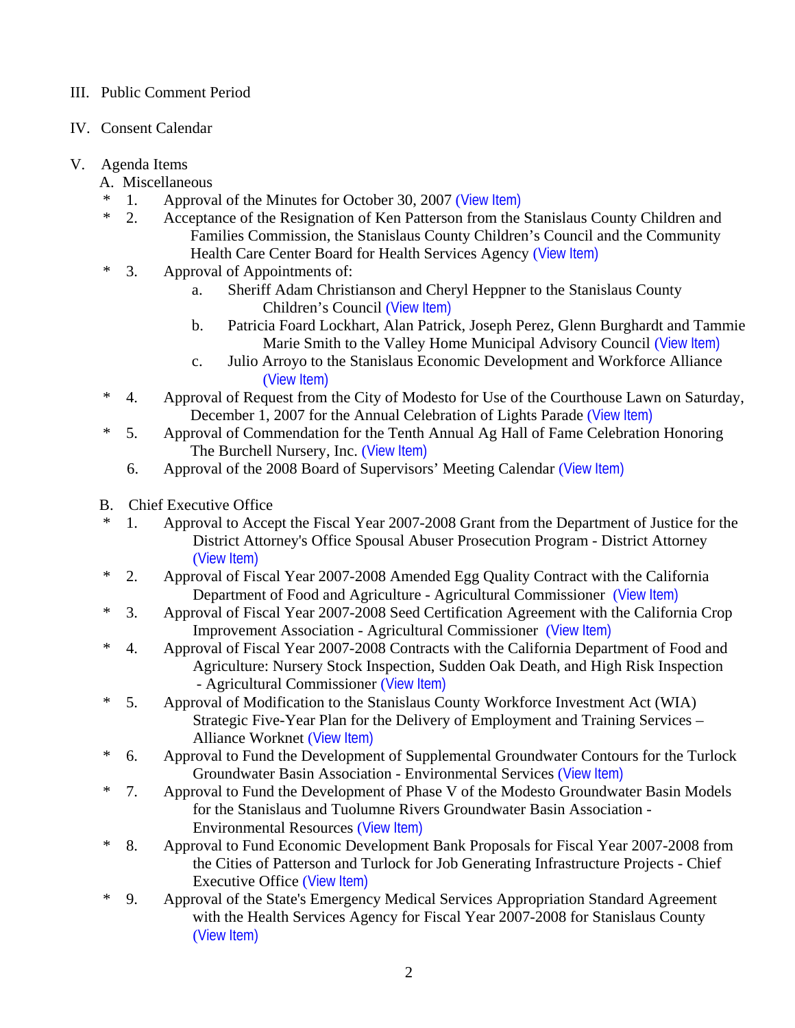## III. Public Comment Period

IV. Consent Calendar

# V. Agenda Items

- A. Miscellaneous
- \* 1. Approval of the Minutes for October 30, 2007 ([View Item\)](http://www.stancounty.com/bos/minutes/2007/min10-30-07.pdf)
- \* 2. Acceptance of the Resignation of Ken Patterson from the Stanislaus County Children and Families Commission, the Stanislaus County Children's Council and the Community Health Care Center Board for Health Services Agency ([View Item\)](http://www.stancounty.com/bos/agenda/2007/20071106/A02.pdf)
- \* 3. Approval of Appointments of:
	- a. Sheriff Adam Christianson and Cheryl Heppner to the Stanislaus County Children's Council ([View Item\)](http://www.stancounty.com/bos/agenda/2007/20071106/A03a.pdf)
	- b. Patricia Foard Lockhart, Alan Patrick, Joseph Perez, Glenn Burghardt and Tammie Marie Smith to the Valley Home Municipal Advisory Council ([View Item\)](http://www.stancounty.com/bos/agenda/2007/20071106/A03b.pdf)
	- c. Julio Arroyo to the Stanislaus Economic Development and Workforce Alliance ([View Item\)](http://www.stancounty.com/bos/agenda/2007/20071106/A03c.pdf)
- \* 4. Approval of Request from the City of Modesto for Use of the Courthouse Lawn on Saturday, December 1, 2007 for the Annual Celebration of Lights Parade ([View Item\)](http://www.stancounty.com/bos/agenda/2007/20071106/A04.pdf)
- \* 5. Approval of Commendation for the Tenth Annual Ag Hall of Fame Celebration Honoring The Burchell Nursery, Inc. ([View Item\)](http://www.stancounty.com/bos/agenda/2007/20071106/A05.pdf)
	- 6. Approval of the 2008 Board of Supervisors' Meeting Calendar ([View Item\)](http://www.stancounty.com/bos/agenda/2007/20071106/A06.pdf)
- B. Chief Executive Office
- \* 1. Approval to Accept the Fiscal Year 2007-2008 Grant from the Department of Justice for the District Attorney's Office Spousal Abuser Prosecution Program - District Attorney ([View Item\)](http://www.stancounty.com/bos/agenda/2007/20071106/B01.pdf)
- \* 2. Approval of Fiscal Year 2007-2008 Amended Egg Quality Contract with the California Department of Food and Agriculture - Agricultural Commissioner ([View Item\)](http://www.stancounty.com/bos/agenda/2007/20071106/B02.pdf)
- \* 3. Approval of Fiscal Year 2007-2008 Seed Certification Agreement with the California Crop Improvement Association - Agricultural Commissioner ([View Item\)](http://www.stancounty.com/bos/agenda/2007/20071106/B03.pdf)
- \* 4. Approval of Fiscal Year 2007-2008 Contracts with the California Department of Food and Agriculture: Nursery Stock Inspection, Sudden Oak Death, and High Risk Inspection - Agricultural Commissioner ([View Item\)](http://www.stancounty.com/bos/agenda/2007/20071106/B04.pdf)
- \* 5. Approval of Modification to the Stanislaus County Workforce Investment Act (WIA) Strategic Five-Year Plan for the Delivery of Employment and Training Services – Alliance Worknet ([View Item\)](http://www.stancounty.com/bos/agenda/2007/20071106/B05.pdf)
- \* 6. Approval to Fund the Development of Supplemental Groundwater Contours for the Turlock Groundwater Basin Association - Environmental Services ([View Item\)](http://www.stancounty.com/bos/agenda/2007/20071106/B06.pdf)
- \* 7. Approval to Fund the Development of Phase V of the Modesto Groundwater Basin Models for the Stanislaus and Tuolumne Rivers Groundwater Basin Association - Environmental Resources ([View Item\)](http://www.stancounty.com/bos/agenda/2007/20071106/B07.pdf)
- \* 8. Approval to Fund Economic Development Bank Proposals for Fiscal Year 2007-2008 from the Cities of Patterson and Turlock for Job Generating Infrastructure Projects - Chief Executive Office ([View Item\)](http://www.stancounty.com/bos/agenda/2007/20071106/B08.pdf)
- \* 9. Approval of the State's Emergency Medical Services Appropriation Standard Agreement with the Health Services Agency for Fiscal Year 2007-2008 for Stanislaus County ([View Item\)](http://www.stancounty.com/bos/agenda/2007/20071106/B09.pdf)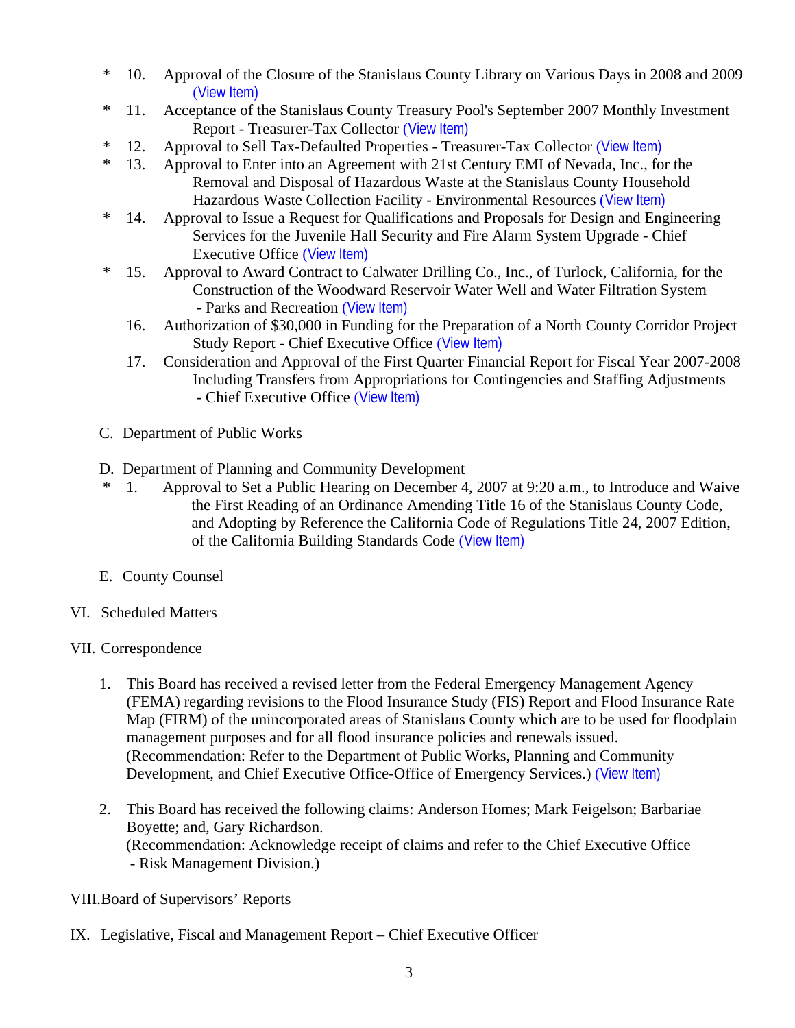- \* 10. Approval of the Closure of the Stanislaus County Library on Various Days in 2008 and 2009 ([View Item\)](http://www.stancounty.com/bos/agenda/2007/20071106/B10.pdf)
- \* 11. Acceptance of the Stanislaus County Treasury Pool's September 2007 Monthly Investment Report - Treasurer-Tax Collector ([View Item\)](http://www.stancounty.com/bos/agenda/2007/20071106/B11.pdf)
- \* 12. Approval to Sell Tax-Defaulted Properties Treasurer-Tax Collector ([View Item\)](http://www.stancounty.com/bos/agenda/2007/20071106/B12.pdf)
- \* 13. Approval to Enter into an Agreement with 21st Century EMI of Nevada, Inc., for the Removal and Disposal of Hazardous Waste at the Stanislaus County Household Hazardous Waste Collection Facility - Environmental Resources ([View Item\)](http://www.stancounty.com/bos/agenda/2007/20071106/B13.pdf)
- \* 14. Approval to Issue a Request for Qualifications and Proposals for Design and Engineering Services for the Juvenile Hall Security and Fire Alarm System Upgrade - Chief Executive Office ([View Item\)](http://www.stancounty.com/bos/agenda/2007/20071106/B14.pdf)
- \* 15. Approval to Award Contract to Calwater Drilling Co., Inc., of Turlock, California, for the Construction of the Woodward Reservoir Water Well and Water Filtration System - Parks and Recreation ([View Item\)](http://www.stancounty.com/bos/agenda/2007/20071106/B15.pdf)
	- 16. Authorization of \$30,000 in Funding for the Preparation of a North County Corridor Project Study Report - Chief Executive Office ([View Item\)](http://www.stancounty.com/bos/agenda/2007/20071106/B16.pdf)
	- 17. Consideration and Approval of the First Quarter Financial Report for Fiscal Year 2007-2008 Including Transfers from Appropriations for Contingencies and Staffing Adjustments - Chief Executive Office ([View Item\)](http://www.stancounty.com/bos/agenda/2007/20071106/B17.pdf)
- C. Department of Public Works
- D. Department of Planning and Community Development
- \* 1. Approval to Set a Public Hearing on December 4, 2007 at 9:20 a.m., to Introduce and Waive the First Reading of an Ordinance Amending Title 16 of the Stanislaus County Code, and Adopting by Reference the California Code of Regulations Title 24, 2007 Edition, of the California Building Standards Code ([View Item\)](http://www.stancounty.com/bos/agenda/2007/20071106/D01.pdf)
- E. County Counsel
- VI. Scheduled Matters
- VII. Correspondence
	- 1. This Board has received a revised letter from the Federal Emergency Management Agency (FEMA) regarding revisions to the Flood Insurance Study (FIS) Report and Flood Insurance Rate Map (FIRM) of the unincorporated areas of Stanislaus County which are to be used for floodplain management purposes and for all flood insurance policies and renewals issued. (Recommendation: Refer to the Department of Public Works, Planning and Community Development, and Chief Executive Office-Office of Emergency Services.) ([View Item\)](http://www.stancounty.com/bos/agenda/2007/20071106/Corr01.pdf)
	- 2. This Board has received the following claims: Anderson Homes; Mark Feigelson; Barbariae Boyette; and, Gary Richardson. (Recommendation: Acknowledge receipt of claims and refer to the Chief Executive Office - Risk Management Division.)

## VIII.Board of Supervisors' Reports

IX. Legislative, Fiscal and Management Report – Chief Executive Officer